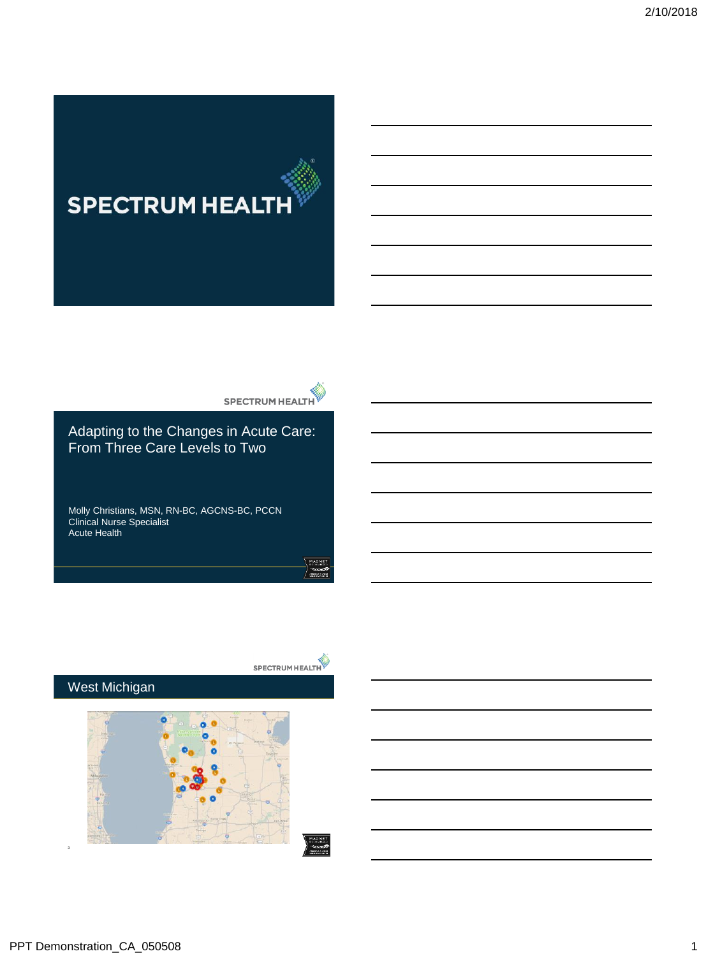# **SPECTRUM HEALTH**



Adapting to the Changes in Acute Care: From Three Care Levels to Two

Molly Christians, MSN, RN-BC, AGCNS-BC, PCCN Clinical Nurse Specialist Acute Health

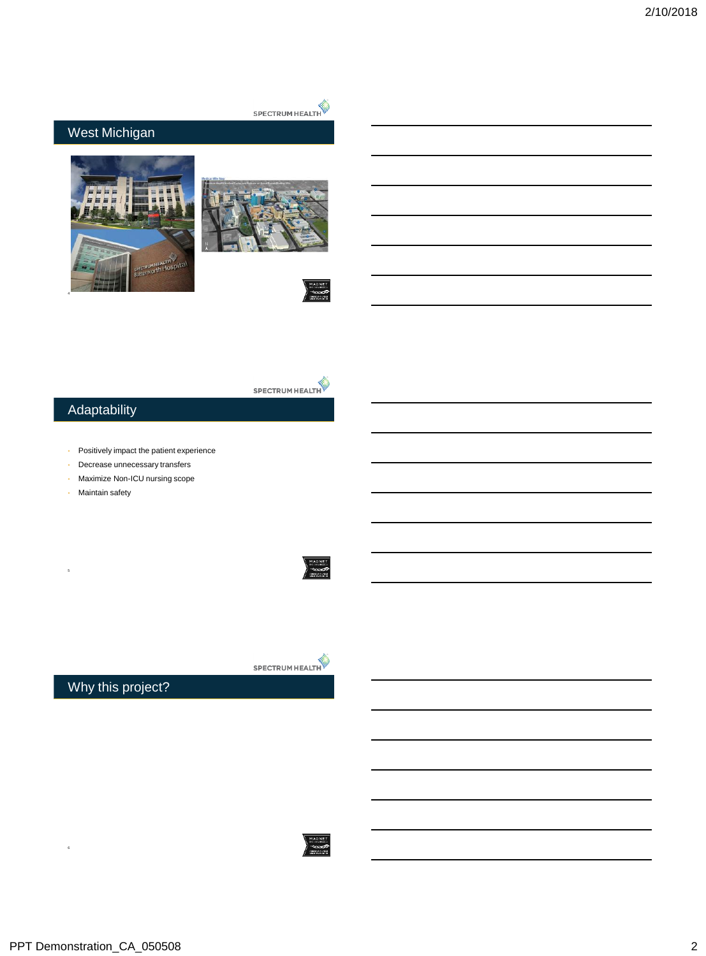

# West Michigan









# Adaptability

- Positively impact the patient experience
- Decrease unnecessary transfers
- Maximize Non-ICU nursing scope
- Maintain safety

5



SPECTRUM HEALTH

Why this project?

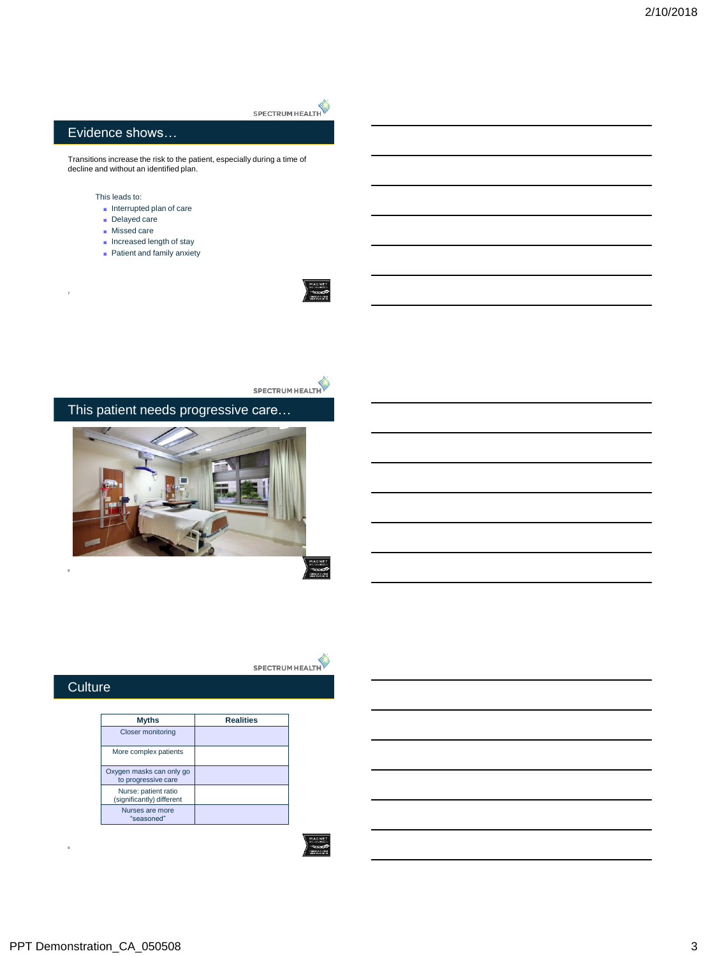

# Evidence shows…

Transitions increase the risk to the patient, especially during a time of decline and without an identified plan.

#### This leads to:

7

- Interrupted plan of care
- Delayed care
- Missed care
- Increased length of stay
- Patient and family anxiety





This patient needs progressive care…





### **Culture**

| <b>Myths</b>                                      | <b>Realities</b> |
|---------------------------------------------------|------------------|
| <b>Closer monitoring</b>                          |                  |
| More complex patients                             |                  |
| Oxygen masks can only go<br>to progressive care   |                  |
| Nurse: patient ratio<br>(significantly) different |                  |
| Nurses are more<br>"seasoned"                     |                  |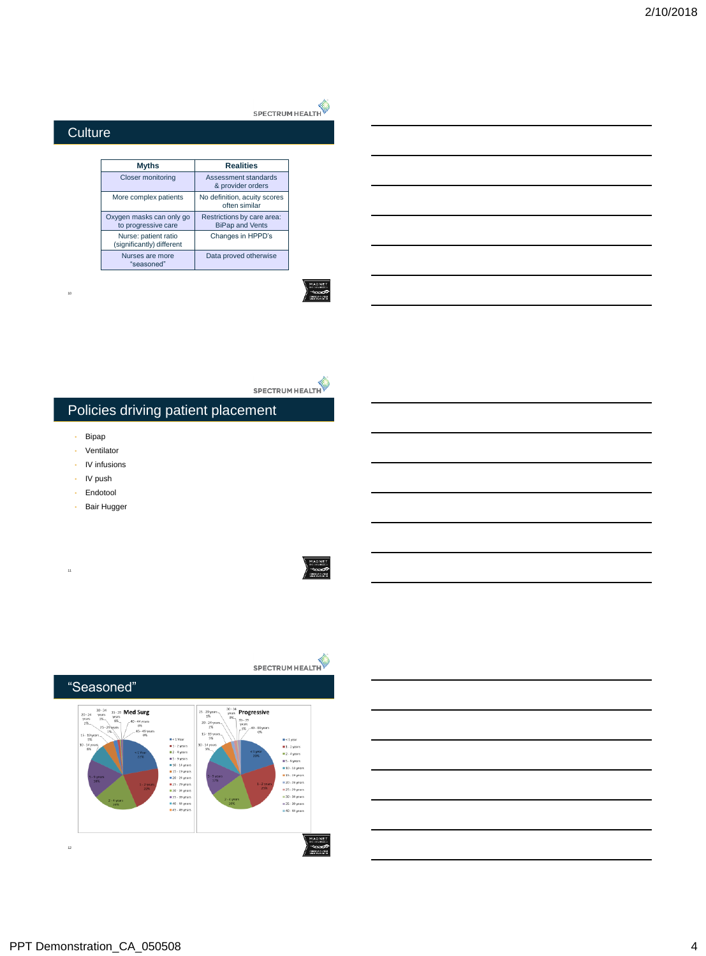# SPECTRUMHEALTH

# **Culture**

10

| <b>Myths</b>                                      | <b>Realities</b>                                     |
|---------------------------------------------------|------------------------------------------------------|
| <b>Closer monitoring</b>                          | Assessment standards<br>& provider orders            |
| More complex patients                             | No definition, acuity scores<br>often similar        |
| Oxygen masks can only go<br>to progressive care   | Restrictions by care area:<br><b>BiPap and Vents</b> |
| Nurse: patient ratio<br>(significantly) different | Changes in HPPD's                                    |
| Nurses are more<br>"seasoned"                     | Data proved otherwise                                |



SPECTRUM HEALTH

# Policies driving patient placement

- Bipap
- Ventilator
- IV infusions
- IV push
- Endotool

11

• Bair Hugger



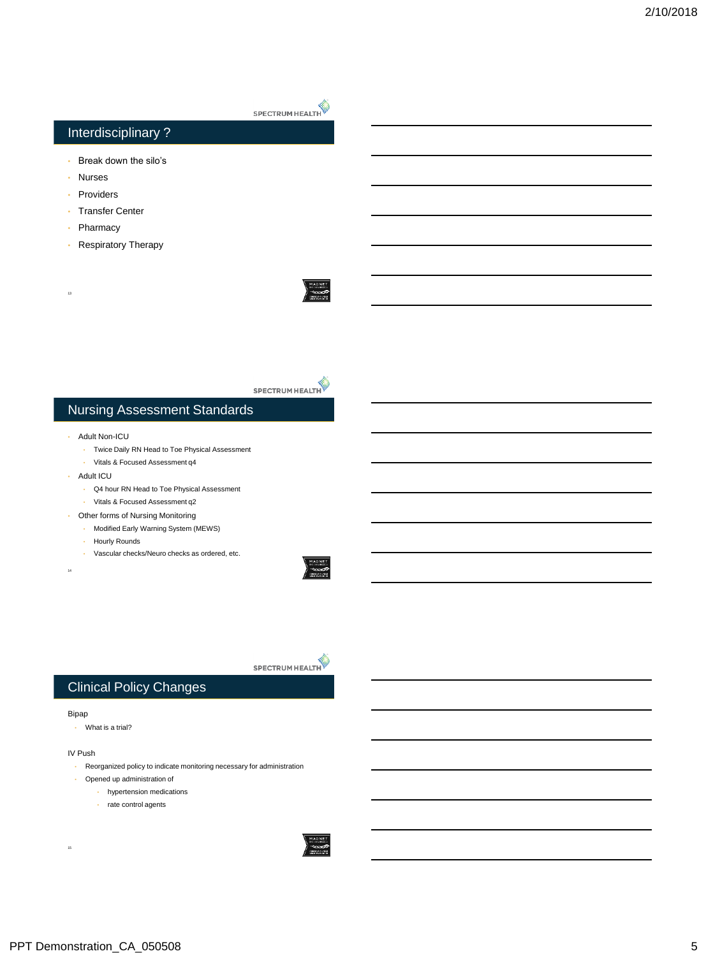# Interdisciplinary ?

- Break down the silo's
- Nurses
- Providers
- Transfer Center
- Pharmacy

13

• Respiratory Therapy



# SPECTRUM HEALTH

SPECTRUM HEALTH

## Nursing Assessment Standards

- Adult Non-ICU
	- Twice Daily RN Head to Toe Physical Assessment
	- Vitals & Focused Assessment q4
- Adult ICU
	- Q4 hour RN Head to Toe Physical Assessment
	- Vitals & Focused Assessment q2
- Other forms of Nursing Monitoring
	- Modified Early Warning System (MEWS)
	- Hourly Rounds
	- Vascular checks/Neuro checks as ordered, etc.



SPECTRUM HEALTH

## Clinical Policy Changes

#### Bipap

 $\overline{14}$ 

• What is a trial?

#### IV Push

15

- Reorganized policy to indicate monitoring necessary for administration • Opened up administration of
	- hypertension medications
		- rate control agents

PPT Demonstration\_CA\_050508 5

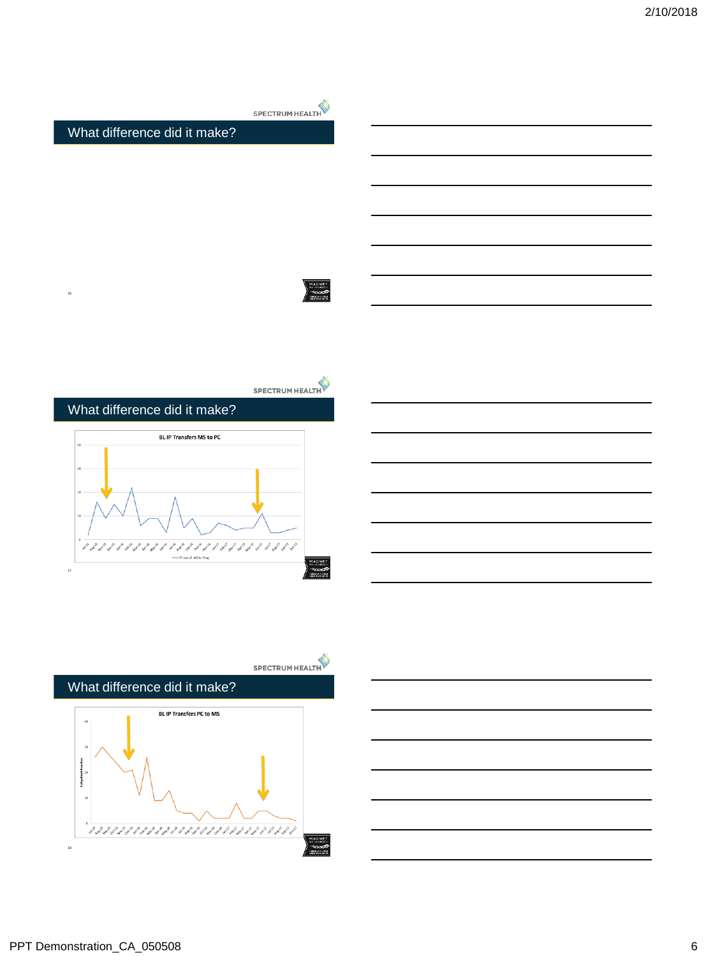





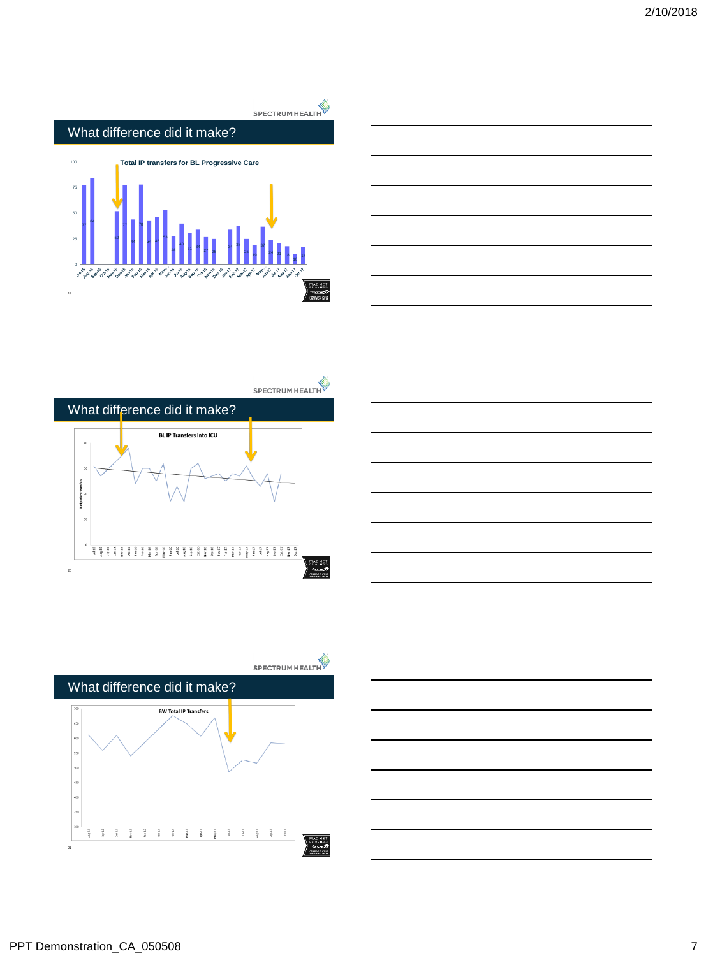









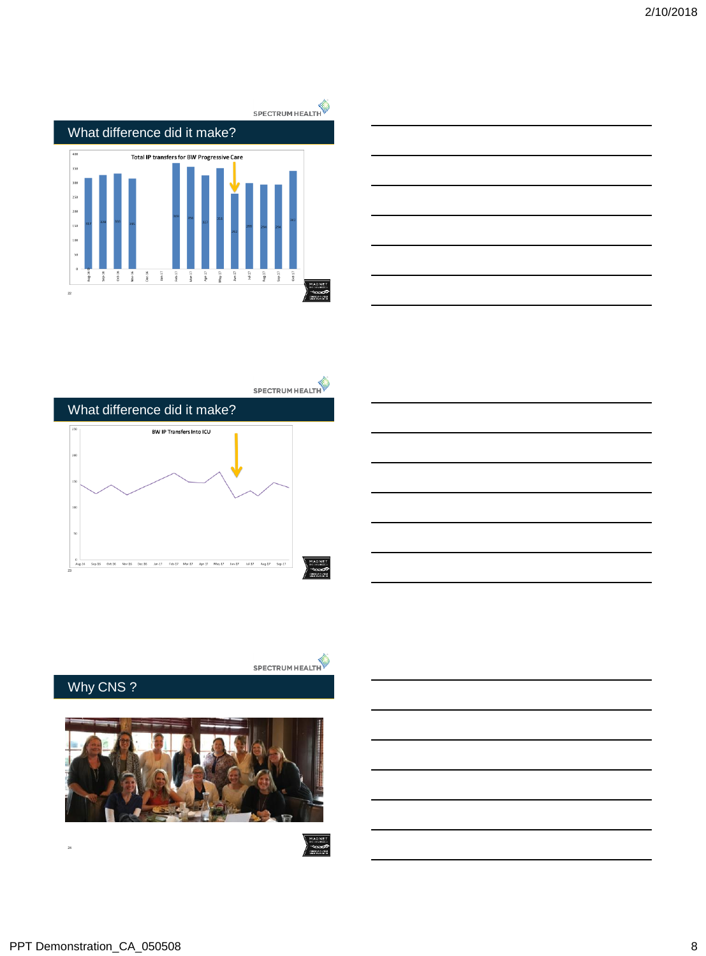







**SPECTRUM HEALTH** 

Why CNS ?